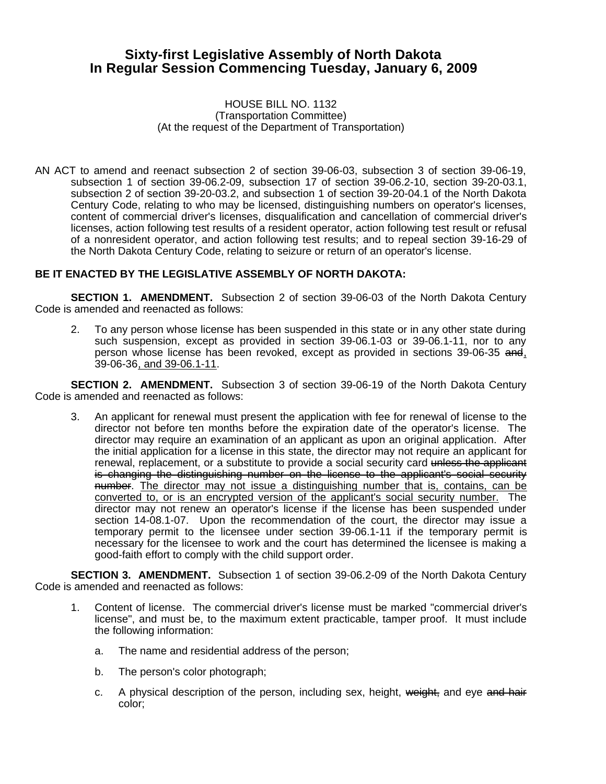## **Sixty-first Legislative Assembly of North Dakota In Regular Session Commencing Tuesday, January 6, 2009**

## HOUSE BILL NO. 1132 (Transportation Committee) (At the request of the Department of Transportation)

AN ACT to amend and reenact subsection 2 of section 39-06-03, subsection 3 of section 39-06-19, subsection 1 of section 39-06.2-09, subsection 17 of section 39-06.2-10, section 39-20-03.1, subsection 2 of section 39-20-03.2, and subsection 1 of section 39-20-04.1 of the North Dakota Century Code, relating to who may be licensed, distinguishing numbers on operator's licenses, content of commercial driver's licenses, disqualification and cancellation of commercial driver's licenses, action following test results of a resident operator, action following test result or refusal of a nonresident operator, and action following test results; and to repeal section 39-16-29 of the North Dakota Century Code, relating to seizure or return of an operator's license.

## **BE IT ENACTED BY THE LEGISLATIVE ASSEMBLY OF NORTH DAKOTA:**

**SECTION 1. AMENDMENT.** Subsection 2 of section 39-06-03 of the North Dakota Century Code is amended and reenacted as follows:

2. To any person whose license has been suspended in this state or in any other state during such suspension, except as provided in section 39-06.1-03 or 39-06.1-11, nor to any person whose license has been revoked, except as provided in sections 39-06-35 and, 39-06-36, and 39-06.1-11.

**SECTION 2. AMENDMENT.** Subsection 3 of section 39-06-19 of the North Dakota Century Code is amended and reenacted as follows:

3. An applicant for renewal must present the application with fee for renewal of license to the director not before ten months before the expiration date of the operator's license. The director may require an examination of an applicant as upon an original application. After the initial application for a license in this state, the director may not require an applicant for renewal, replacement, or a substitute to provide a social security card unless the applicant is changing the distinguishing number on the license to the applicant's social security number. The director may not issue a distinguishing number that is, contains, can be converted to, or is an encrypted version of the applicant's social security number. The director may not renew an operator's license if the license has been suspended under section 14-08.1-07. Upon the recommendation of the court, the director may issue a temporary permit to the licensee under section 39-06.1-11 if the temporary permit is necessary for the licensee to work and the court has determined the licensee is making a good-faith effort to comply with the child support order.

**SECTION 3. AMENDMENT.** Subsection 1 of section 39-06.2-09 of the North Dakota Century Code is amended and reenacted as follows:

- 1. Content of license. The commercial driver's license must be marked "commercial driver's license", and must be, to the maximum extent practicable, tamper proof. It must include the following information:
	- a. The name and residential address of the person;
	- b. The person's color photograph;
	- c. A physical description of the person, including sex, height, weight, and eye and hair color;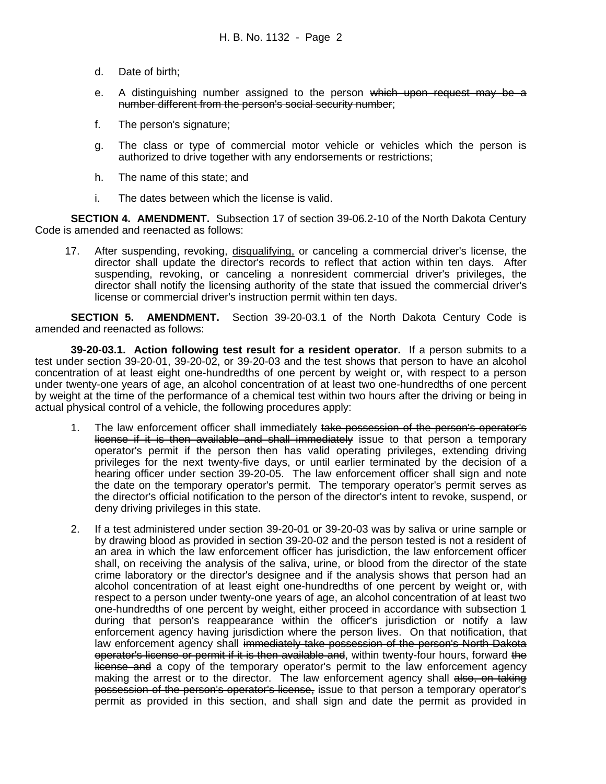- d. Date of birth;
- e. A distinguishing number assigned to the person which upon request may be a number different from the person's social security number;
- f. The person's signature;
- g. The class or type of commercial motor vehicle or vehicles which the person is authorized to drive together with any endorsements or restrictions;
- h. The name of this state; and
- i. The dates between which the license is valid.

**SECTION 4. AMENDMENT.** Subsection 17 of section 39-06.2-10 of the North Dakota Century Code is amended and reenacted as follows:

17. After suspending, revoking, disqualifying, or canceling a commercial driver's license, the director shall update the director's records to reflect that action within ten days. After suspending, revoking, or canceling a nonresident commercial driver's privileges, the director shall notify the licensing authority of the state that issued the commercial driver's license or commercial driver's instruction permit within ten days.

**SECTION 5. AMENDMENT.** Section 39-20-03.1 of the North Dakota Century Code is amended and reenacted as follows:

**39-20-03.1. Action following test result for a resident operator.** If a person submits to a test under section 39-20-01, 39-20-02, or 39-20-03 and the test shows that person to have an alcohol concentration of at least eight one-hundredths of one percent by weight or, with respect to a person under twenty-one years of age, an alcohol concentration of at least two one-hundredths of one percent by weight at the time of the performance of a chemical test within two hours after the driving or being in actual physical control of a vehicle, the following procedures apply:

- 1. The law enforcement officer shall immediately take possession of the person's operator's license if it is then available and shall immediately issue to that person a temporary operator's permit if the person then has valid operating privileges, extending driving privileges for the next twenty-five days, or until earlier terminated by the decision of a hearing officer under section 39-20-05. The law enforcement officer shall sign and note the date on the temporary operator's permit. The temporary operator's permit serves as the director's official notification to the person of the director's intent to revoke, suspend, or deny driving privileges in this state.
- 2. If a test administered under section 39-20-01 or 39-20-03 was by saliva or urine sample or by drawing blood as provided in section 39-20-02 and the person tested is not a resident of an area in which the law enforcement officer has jurisdiction, the law enforcement officer shall, on receiving the analysis of the saliva, urine, or blood from the director of the state crime laboratory or the director's designee and if the analysis shows that person had an alcohol concentration of at least eight one-hundredths of one percent by weight or, with respect to a person under twenty-one years of age, an alcohol concentration of at least two one-hundredths of one percent by weight, either proceed in accordance with subsection 1 during that person's reappearance within the officer's jurisdiction or notify a law enforcement agency having jurisdiction where the person lives. On that notification, that law enforcement agency shall immediately take possession of the person's North Dakota operator's license or permit if it is then available and, within twenty-four hours, forward the license and a copy of the temporary operator's permit to the law enforcement agency making the arrest or to the director. The law enforcement agency shall also, on taking possession of the person's operator's license, issue to that person a temporary operator's permit as provided in this section, and shall sign and date the permit as provided in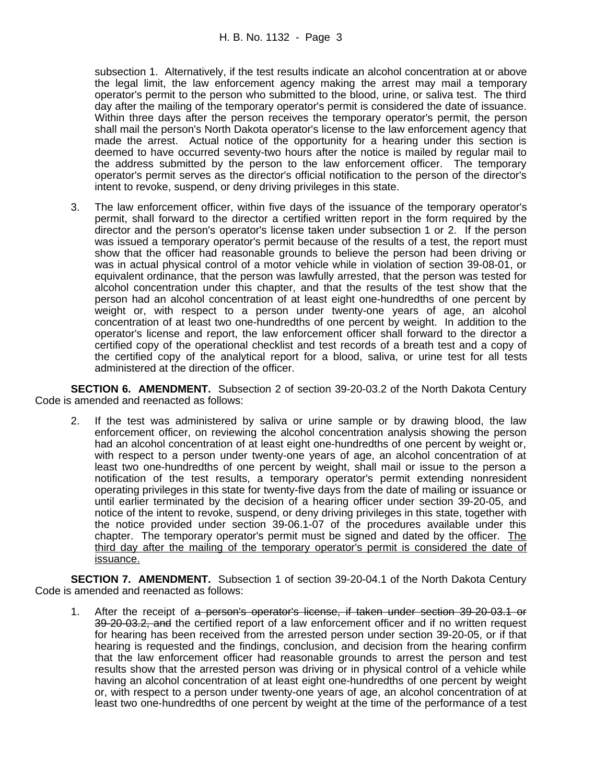subsection 1. Alternatively, if the test results indicate an alcohol concentration at or above the legal limit, the law enforcement agency making the arrest may mail a temporary operator's permit to the person who submitted to the blood, urine, or saliva test. The third day after the mailing of the temporary operator's permit is considered the date of issuance. Within three days after the person receives the temporary operator's permit, the person shall mail the person's North Dakota operator's license to the law enforcement agency that made the arrest. Actual notice of the opportunity for a hearing under this section is deemed to have occurred seventy-two hours after the notice is mailed by regular mail to the address submitted by the person to the law enforcement officer. The temporary operator's permit serves as the director's official notification to the person of the director's intent to revoke, suspend, or deny driving privileges in this state.

3. The law enforcement officer, within five days of the issuance of the temporary operator's permit, shall forward to the director a certified written report in the form required by the director and the person's operator's license taken under subsection 1 or 2. If the person was issued a temporary operator's permit because of the results of a test, the report must show that the officer had reasonable grounds to believe the person had been driving or was in actual physical control of a motor vehicle while in violation of section 39-08-01, or equivalent ordinance, that the person was lawfully arrested, that the person was tested for alcohol concentration under this chapter, and that the results of the test show that the person had an alcohol concentration of at least eight one-hundredths of one percent by weight or, with respect to a person under twenty-one years of age, an alcohol concentration of at least two one-hundredths of one percent by weight. In addition to the operator's license and report, the law enforcement officer shall forward to the director a certified copy of the operational checklist and test records of a breath test and a copy of the certified copy of the analytical report for a blood, saliva, or urine test for all tests administered at the direction of the officer.

**SECTION 6. AMENDMENT.** Subsection 2 of section 39-20-03.2 of the North Dakota Century Code is amended and reenacted as follows:

2. If the test was administered by saliva or urine sample or by drawing blood, the law enforcement officer, on reviewing the alcohol concentration analysis showing the person had an alcohol concentration of at least eight one-hundredths of one percent by weight or, with respect to a person under twenty-one years of age, an alcohol concentration of at least two one-hundredths of one percent by weight, shall mail or issue to the person a notification of the test results, a temporary operator's permit extending nonresident operating privileges in this state for twenty-five days from the date of mailing or issuance or until earlier terminated by the decision of a hearing officer under section 39-20-05, and notice of the intent to revoke, suspend, or deny driving privileges in this state, together with the notice provided under section 39-06.1-07 of the procedures available under this chapter. The temporary operator's permit must be signed and dated by the officer. The third day after the mailing of the temporary operator's permit is considered the date of issuance.

**SECTION 7. AMENDMENT.** Subsection 1 of section 39-20-04.1 of the North Dakota Century Code is amended and reenacted as follows:

1. After the receipt of a person's operator's license, if taken under section 39-20-03.1 or 39-20-03.2, and the certified report of a law enforcement officer and if no written request for hearing has been received from the arrested person under section 39-20-05, or if that hearing is requested and the findings, conclusion, and decision from the hearing confirm that the law enforcement officer had reasonable grounds to arrest the person and test results show that the arrested person was driving or in physical control of a vehicle while having an alcohol concentration of at least eight one-hundredths of one percent by weight or, with respect to a person under twenty-one years of age, an alcohol concentration of at least two one-hundredths of one percent by weight at the time of the performance of a test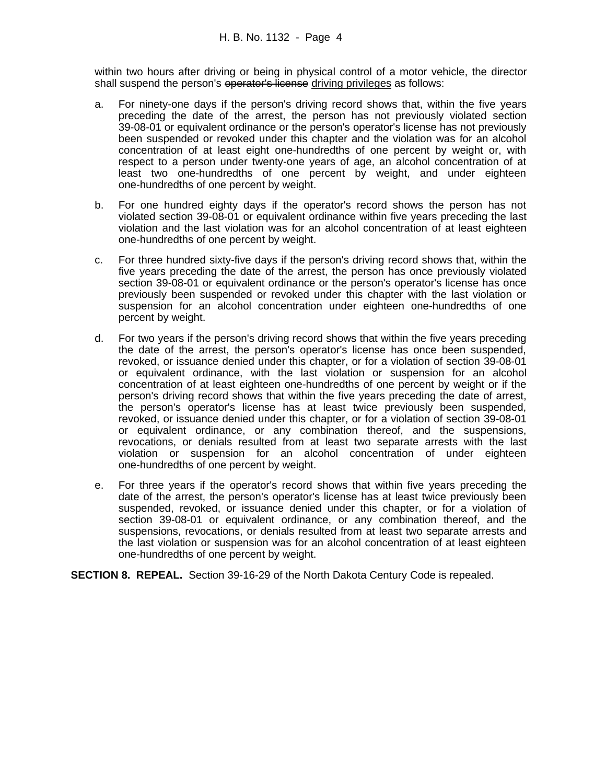within two hours after driving or being in physical control of a motor vehicle, the director shall suspend the person's operator's license driving privileges as follows:

- a. For ninety-one days if the person's driving record shows that, within the five years preceding the date of the arrest, the person has not previously violated section 39-08-01 or equivalent ordinance or the person's operator's license has not previously been suspended or revoked under this chapter and the violation was for an alcohol concentration of at least eight one-hundredths of one percent by weight or, with respect to a person under twenty-one years of age, an alcohol concentration of at least two one-hundredths of one percent by weight, and under eighteen one-hundredths of one percent by weight.
- b. For one hundred eighty days if the operator's record shows the person has not violated section 39-08-01 or equivalent ordinance within five years preceding the last violation and the last violation was for an alcohol concentration of at least eighteen one-hundredths of one percent by weight.
- c. For three hundred sixty-five days if the person's driving record shows that, within the five years preceding the date of the arrest, the person has once previously violated section 39-08-01 or equivalent ordinance or the person's operator's license has once previously been suspended or revoked under this chapter with the last violation or suspension for an alcohol concentration under eighteen one-hundredths of one percent by weight.
- d. For two years if the person's driving record shows that within the five years preceding the date of the arrest, the person's operator's license has once been suspended, revoked, or issuance denied under this chapter, or for a violation of section 39-08-01 or equivalent ordinance, with the last violation or suspension for an alcohol concentration of at least eighteen one-hundredths of one percent by weight or if the person's driving record shows that within the five years preceding the date of arrest, the person's operator's license has at least twice previously been suspended, revoked, or issuance denied under this chapter, or for a violation of section 39-08-01 or equivalent ordinance, or any combination thereof, and the suspensions, revocations, or denials resulted from at least two separate arrests with the last violation or suspension for an alcohol concentration of under eighteen one-hundredths of one percent by weight.
- e. For three years if the operator's record shows that within five years preceding the date of the arrest, the person's operator's license has at least twice previously been suspended, revoked, or issuance denied under this chapter, or for a violation of section 39-08-01 or equivalent ordinance, or any combination thereof, and the suspensions, revocations, or denials resulted from at least two separate arrests and the last violation or suspension was for an alcohol concentration of at least eighteen one-hundredths of one percent by weight.

**SECTION 8. REPEAL.** Section 39-16-29 of the North Dakota Century Code is repealed.